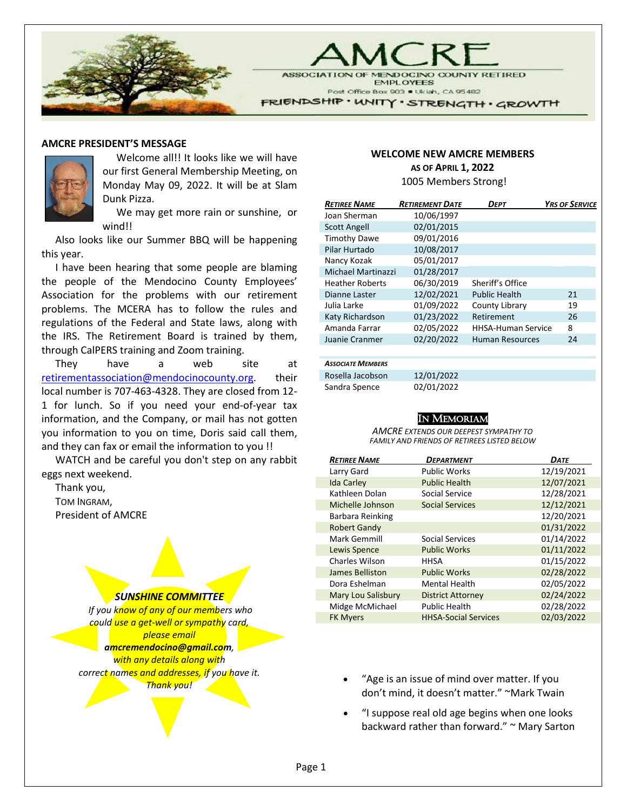

**ASSOCIATION RETIRED EMPLOYEES** Post Office Box 903 . Ukiah, CA 95482

FRIENDSHIP · UNITY · STRENGTH · GROWTH

#### **AMCRE PRESIDENT'S MESSAGE**



Welcome all!! It looks like we will have our first General Membership Meeting, on Monday May 09, 2022. It will be at Slam Dunk Pizza.

We may get more rain or sunshine, or wind!!

Also looks like our Summer BBQ will be happening this year.

I have been hearing that some people are blaming the people of the Mendocino County Employees' Association for the problems with our retirement problems. The MCERA has to follow the rules and regulations of the Federal and State laws, along with the IRS. The Retirement Board is trained by them, through CalPERS training and Zoom training.

They have a web site at [retirementassociation@mendocinocounty.org.](mailto:retirementassociation@mendocinocounty.org) their local number is 707-463-4328. They are closed from 12- 1 for lunch. So if you need your end-of-year tax information, and the Company, or mail has not gotten you information to you on time, Doris said call them, and they can fax or email the information to you !!

WATCH and be careful you don't step on any rabbit eggs next weekend.

Thank you, TOM INGRAM, President of AMCRE

#### *SUNSHINE COMMITTEE*

*If you know of any of our members who could use a get-well or sympathy card, please email amcremendocino@gmail.com, with any details along with correct names and addresses, if you have it. Thank you!*

#### **WELCOME NEW AMCRE MEMBERS AS OF APRIL 1, 2022**

1005 Members Strong!

| <b>RETIREE NAME</b>    | <b>RETIREMENT DATE</b> | DEPT                      | <b>YRS OF SERVICE</b> |
|------------------------|------------------------|---------------------------|-----------------------|
| Joan Sherman           | 10/06/1997             |                           |                       |
| <b>Scott Angell</b>    | 02/01/2015             |                           |                       |
| <b>Timothy Dawe</b>    | 09/01/2016             |                           |                       |
| Pilar Hurtado          | 10/08/2017             |                           |                       |
| Nancy Kozak            | 05/01/2017             |                           |                       |
| Michael Martinazzi     | 01/28/2017             |                           |                       |
| <b>Heather Roberts</b> | 06/30/2019             | Sheriff's Office          |                       |
| Dianne Laster          | 12/02/2021             | <b>Public Health</b>      | 21                    |
| Julia Larke            | 01/09/2022             | County Library            | 19                    |
| Katy Richardson        | 01/23/2022             | Retirement                | 26                    |
| Amanda Farrar          | 02/05/2022             | <b>HHSA-Human Service</b> | 8                     |
| Juanie Cranmer         | 02/20/2022             | <b>Human Resources</b>    | 24                    |
|                        |                        |                           |                       |

#### *ASSOCIATE MEMBERS*

Rosella Jacobson 12/01/2022 Sandra Spence 02/01/2022

#### IN MEMORIAM

*AMCRE EXTENDS OUR DEEPEST SYMPATHY TO FAMILY AND FRIENDS OF RETIREES LISTED BELOW*

| <b>RETIREE NAME</b> | DEPARTMENT                  | <b>DATE</b> |
|---------------------|-----------------------------|-------------|
| Larry Gard          | <b>Public Works</b>         | 12/19/2021  |
| <b>Ida Carley</b>   | <b>Public Health</b>        | 12/07/2021  |
| Kathleen Dolan      | Social Service              | 12/28/2021  |
| Michelle Johnson    | <b>Social Services</b>      | 12/12/2021  |
| Barbara Reinking    |                             | 12/20/2021  |
| <b>Robert Gandy</b> |                             | 01/31/2022  |
| Mark Gemmill        | <b>Social Services</b>      | 01/14/2022  |
| Lewis Spence        | <b>Public Works</b>         | 01/11/2022  |
| Charles Wilson      | <b>HHSA</b>                 | 01/15/2022  |
| James Belliston     | <b>Public Works</b>         | 02/28/2022  |
| Dora Eshelman       | <b>Mental Health</b>        | 02/05/2022  |
| Mary Lou Salisbury  | <b>District Attorney</b>    | 02/24/2022  |
| Midge McMichael     | <b>Public Health</b>        | 02/28/2022  |
| <b>FK Myers</b>     | <b>HHSA-Social Services</b> | 02/03/2022  |

- "Age is an issue of mind over matter. If you don't mind, it doesn't matter." ~Mark Twain
- "I suppose real old age begins when one looks backward rather than forward." ~ Mary Sarton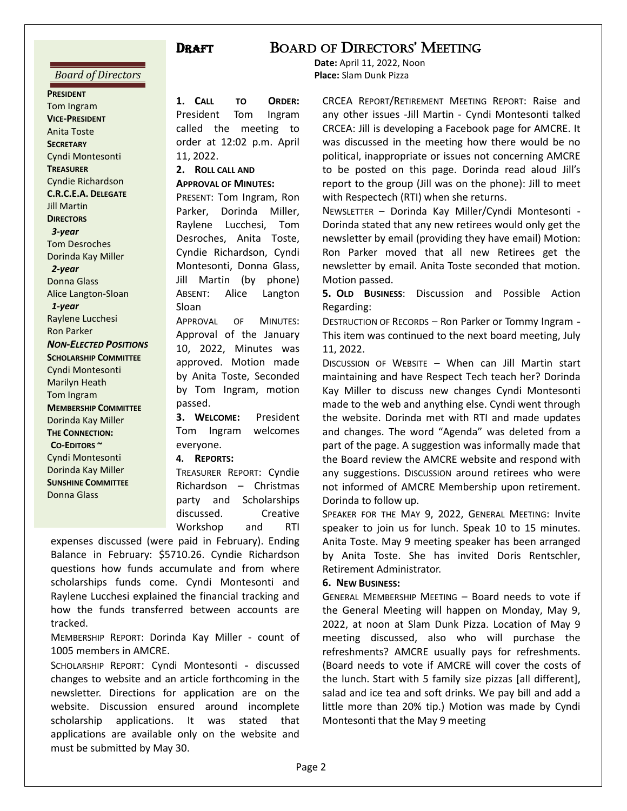#### *Board of Directors*

**PRESIDENT** Tom Ingram **VICE-PRESIDENT** Anita Toste **SECRETARY** Cyndi Montesonti **TREASURER**  Cyndie Richardson **C.R.C.E.A. DELEGATE** Jill Martin **DIRECTORS**  *3-year*  Tom Desroches Dorinda Kay Miller  *2-year*  Donna Glass Alice Langton-Sloan  *1-year*  Raylene Lucchesi Ron Parker *NON-ELECTED POSITIONS* **SCHOLARSHIP COMMITTEE** Cyndi Montesonti Marilyn Heath Tom Ingram **MEMBERSHIP COMMITTEE** Dorinda Kay Miller **THE CONNECTION: CO-EDITORS ~**  Cyndi Montesonti Dorinda Kay Miller **SUNSHINE COMMITTEE** Donna Glass

#### **1. CALL TO ORDER:** President Tom Ingram called the meeting to order at 12:02 p.m. April 11, 2022.

**2. ROLL CALL AND** 

**APPROVAL OF MINUTES:** PRESENT: Tom Ingram, Ron Parker, Dorinda Miller, Raylene Lucchesi, Tom Desroches, Anita Toste, Cyndie Richardson, Cyndi Montesonti, Donna Glass, Jill Martin (by phone) ABSENT: Alice Langton Sloan

APPROVAL OF MINUTES: Approval of the January 10, 2022, Minutes was approved. Motion made by Anita Toste, Seconded by Tom Ingram, motion passed.

**3. WELCOME:** President Tom Ingram welcomes everyone.

**4. REPORTS:**

TREASURER REPORT: Cyndie Richardson – Christmas party and Scholarships discussed. Creative Workshop and RTI

expenses discussed (were paid in February). Ending Balance in February: \$5710.26. Cyndie Richardson questions how funds accumulate and from where scholarships funds come. Cyndi Montesonti and Raylene Lucchesi explained the financial tracking and how the funds transferred between accounts are tracked.

 MEMBERSHIP REPORT: Dorinda Kay Miller - count of 1005 members in AMCRE.

SCHOLARSHIP REPORT: Cyndi Montesonti - discussed changes to website and an article forthcoming in the newsletter. Directions for application are on the website. Discussion ensured around incomplete scholarship applications. It was stated that applications are available only on the website and must be submitted by May 30.

## DRAFT BOARD OF DIRECTORS' MEETING

**Date:** April 11, 2022, Noon **Place:** Slam Dunk Pizza

CRCEA REPORT/RETIREMENT MEETING REPORT: Raise and any other issues -Jill Martin - Cyndi Montesonti talked CRCEA: Jill is developing a Facebook page for AMCRE. It was discussed in the meeting how there would be no political, inappropriate or issues not concerning AMCRE to be posted on this page. Dorinda read aloud Jill's report to the group (Jill was on the phone): Jill to meet with Respectech (RTI) when she returns.

NEWSLETTER – Dorinda Kay Miller/Cyndi Montesonti - Dorinda stated that any new retirees would only get the newsletter by email (providing they have email) Motion: Ron Parker moved that all new Retirees get the newsletter by email. Anita Toste seconded that motion. Motion passed.

**5. OLD BUSINESS**: Discussion and Possible Action Regarding:

DESTRUCTION OF RECORDS – Ron Parker or Tommy Ingram - This item was continued to the next board meeting, July 11, 2022.

DISCUSSION OF WEBSITE – When can Jill Martin start maintaining and have Respect Tech teach her? Dorinda Kay Miller to discuss new changes Cyndi Montesonti made to the web and anything else. Cyndi went through the website. Dorinda met with RTI and made updates and changes. The word "Agenda" was deleted from a part of the page. A suggestion was informally made that the Board review the AMCRE website and respond with any suggestions. Discussion around retirees who were not informed of AMCRE Membership upon retirement. Dorinda to follow up.

SPEAKER FOR THE MAY 9, 2022, GENERAL MEETING: Invite speaker to join us for lunch. Speak 10 to 15 minutes. Anita Toste. May 9 meeting speaker has been arranged by Anita Toste. She has invited Doris Rentschler, Retirement Administrator.

#### **6. NEW BUSINESS:**

GENERAL MEMBERSHIP MEETING – Board needs to vote if the General Meeting will happen on Monday, May 9, 2022, at noon at Slam Dunk Pizza. Location of May 9 meeting discussed, also who will purchase the refreshments? AMCRE usually pays for refreshments. (Board needs to vote if AMCRE will cover the costs of the lunch. Start with 5 family size pizzas [all different], salad and ice tea and soft drinks. We pay bill and add a little more than 20% tip.) Motion was made by Cyndi Montesonti that the May 9 meeting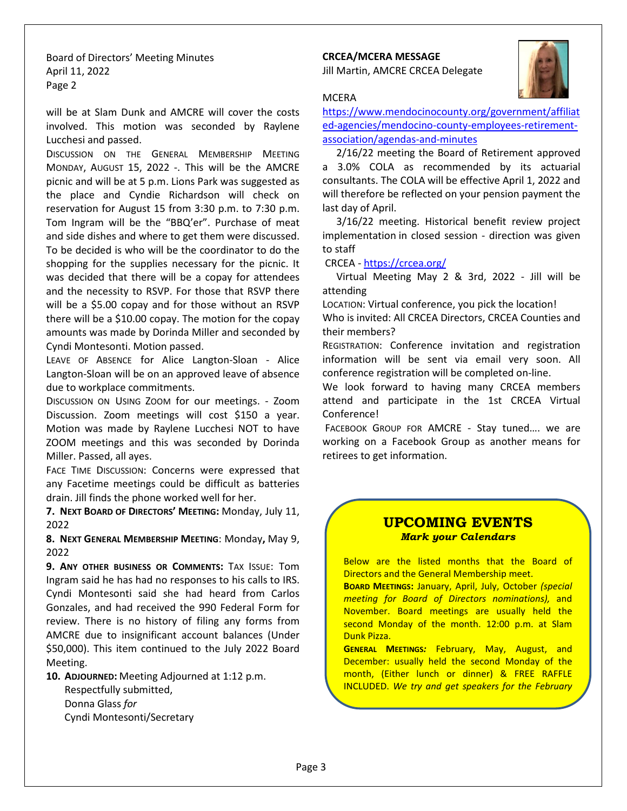Board of Directors' Meeting Minutes April 11, 2022 Page 2

will be at Slam Dunk and AMCRE will cover the costs involved. This motion was seconded by Raylene Lucchesi and passed.

DISCUSSION ON THE GENERAL MEMBERSHIP MEETING MONDAY, AUGUST 15, 2022 -. This will be the AMCRE picnic and will be at 5 p.m. Lions Park was suggested as the place and Cyndie Richardson will check on reservation for August 15 from 3:30 p.m. to 7:30 p.m. Tom Ingram will be the "BBQ'er". Purchase of meat and side dishes and where to get them were discussed. To be decided is who will be the coordinator to do the shopping for the supplies necessary for the picnic. It was decided that there will be a copay for attendees and the necessity to RSVP. For those that RSVP there will be a \$5.00 copay and for those without an RSVP there will be a \$10.00 copay. The motion for the copay amounts was made by Dorinda Miller and seconded by Cyndi Montesonti. Motion passed.

LEAVE OF ABSENCE for Alice Langton-Sloan - Alice Langton-Sloan will be on an approved leave of absence due to workplace commitments.

DISCUSSION ON USING ZOOM for our meetings. - Zoom Discussion. Zoom meetings will cost \$150 a year. Motion was made by Raylene Lucchesi NOT to have ZOOM meetings and this was seconded by Dorinda Miller. Passed, all ayes.

FACE TIME DISCUSSION: Concerns were expressed that any Facetime meetings could be difficult as batteries drain. Jill finds the phone worked well for her.

**7. NEXT BOARD OF DIRECTORS' MEETING:** Monday, July 11, 2022

**8. NEXT GENERAL MEMBERSHIP MEETING**: Monday**,** May 9, 2022

**9. ANY OTHER BUSINESS OR COMMENTS:** TAX ISSUE: Tom Ingram said he has had no responses to his calls to IRS. Cyndi Montesonti said she had heard from Carlos Gonzales, and had received the 990 Federal Form for review. There is no history of filing any forms from AMCRE due to insignificant account balances (Under \$50,000). This item continued to the July 2022 Board Meeting.

**10. ADJOURNED:** Meeting Adjourned at 1:12 p.m.

Respectfully submitted, Donna Glass *for* Cyndi Montesonti/Secretary

## **CRCEA/MCERA MESSAGE**

Jill Martin, AMCRE CRCEA Delegate



#### **MCERA**

[https://www.mendocinocounty.org/government/affiliat](https://www.mendocinocounty.org/government/affiliated-agencies/mendocino-county-employees-retirement-association/agendas-and-minutes) [ed-agencies/mendocino-county-employees-retirement](https://www.mendocinocounty.org/government/affiliated-agencies/mendocino-county-employees-retirement-association/agendas-and-minutes)[association/agendas-and-minutes](https://www.mendocinocounty.org/government/affiliated-agencies/mendocino-county-employees-retirement-association/agendas-and-minutes)

2/16/22 meeting the Board of Retirement approved a 3.0% COLA as recommended by its actuarial consultants. The COLA will be effective April 1, 2022 and will therefore be reflected on your pension payment the last day of April.

 3/16/22 meeting. Historical benefit review project implementation in closed session - direction was given to staff

CRCEA -<https://crcea.org/>

Virtual Meeting May 2 & 3rd, 2022 - Jill will be attending

LOCATION: Virtual conference, you pick the location!

Who is invited: All CRCEA Directors, CRCEA Counties and their members?

REGISTRATION: Conference invitation and registration information will be sent via email very soon. All conference registration will be completed on-line.

We look forward to having many CRCEA members attend and participate in the 1st CRCEA Virtual Conference!

 FACEBOOK GROUP FOR AMCRE - Stay tuned…. we are working on a Facebook Group as another means for retirees to get information.

#### **UPCOMING EVENTS** *Mark your Calendars*

Below are the listed months that the Board of Directors and the General Membership meet.

**BOARD MEETINGS:** January, April, July, October *(special meeting for Board of Directors nominations),* and November. Board meetings are usually held the second Monday of the month. 12:00 p.m. at Slam Dunk Pizza.

**GENERAL MEETINGS***:* February, May, August, and December: usually held the second Monday of the month, (Either lunch or dinner) & FREE RAFFLE INCLUDED. *We try and get speakers for the February*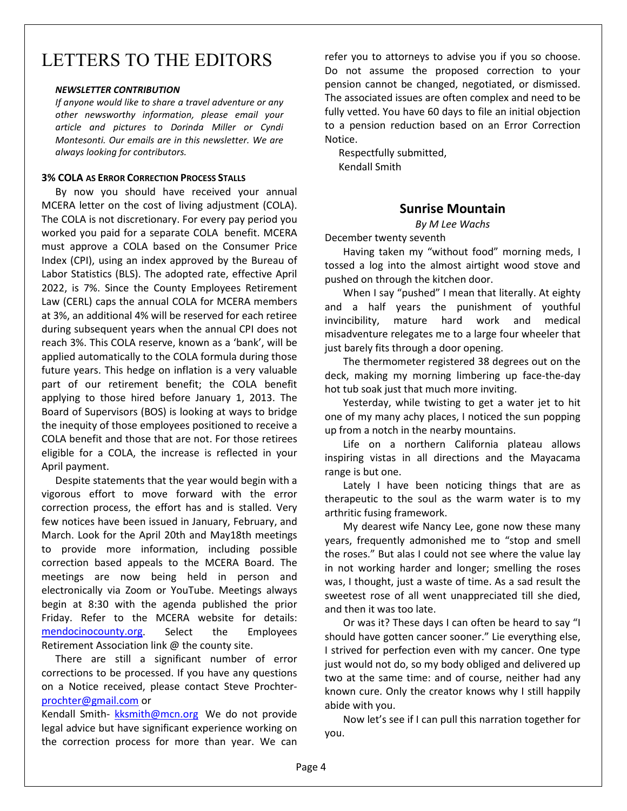# LETTERS TO THE EDITORS

#### *NEWSLETTER CONTRIBUTION*

*If anyone would like to share a travel adventure or any other newsworthy information, please email your article and pictures to Dorinda Miller or Cyndi Montesonti. Our emails are in this newsletter. We are always looking for contributors.* 

#### **3% COLA AS ERROR CORRECTION PROCESS STALLS**

By now you should have received your annual MCERA letter on the cost of living adjustment (COLA). The COLA is not discretionary. For every pay period you worked you paid for a separate COLA benefit. MCERA must approve a COLA based on the Consumer Price Index (CPI), using an index approved by the Bureau of Labor Statistics (BLS). The adopted rate, effective April 2022, is 7%. Since the County Employees Retirement Law (CERL) caps the annual COLA for MCERA members at 3%, an additional 4% will be reserved for each retiree during subsequent years when the annual CPI does not reach 3%. This COLA reserve, known as a 'bank', will be applied automatically to the COLA formula during those future years. This hedge on inflation is a very valuable part of our retirement benefit; the COLA benefit applying to those hired before January 1, 2013. The Board of Supervisors (BOS) is looking at ways to bridge the inequity of those employees positioned to receive a COLA benefit and those that are not. For those retirees eligible for a COLA, the increase is reflected in your April payment.

Despite statements that the year would begin with a vigorous effort to move forward with the error correction process, the effort has and is stalled. Very few notices have been issued in January, February, and March. Look for the April 20th and May18th meetings to provide more information, including possible correction based appeals to the MCERA Board. The meetings are now being held in person and electronically via Zoom or YouTube. Meetings always begin at 8:30 with the agenda published the prior Friday. Refer to the MCERA website for details: [mendocinocounty.org.](http://mendocinocounty.org/) Select the Employees Retirement Association link @ the county site.

There are still a significant number of error corrections to be processed. If you have any questions on a Notice received, please contact Steve Prochter[prochter@gmail.com](mailto:prochter@gmail.com) or

Kendall Smith- [kksmith@mcn.org](mailto:kksmith@mcn.org) We do not provide legal advice but have significant experience working on the correction process for more than year. We can

refer you to attorneys to advise you if you so choose. Do not assume the proposed correction to your pension cannot be changed, negotiated, or dismissed. The associated issues are often complex and need to be fully vetted. You have 60 days to file an initial objection to a pension reduction based on an Error Correction Notice.

Respectfully submitted, Kendall Smith

#### **Sunrise Mountain**

*By M Lee Wachs*

December twenty seventh

Having taken my "without food" morning meds, I tossed a log into the almost airtight wood stove and pushed on through the kitchen door.

When I say "pushed" I mean that literally. At eighty and a half years the punishment of youthful invincibility, mature hard work and medical misadventure relegates me to a large four wheeler that just barely fits through a door opening.

The thermometer registered 38 degrees out on the deck, making my morning limbering up face-the-day hot tub soak just that much more inviting.

Yesterday, while twisting to get a water jet to hit one of my many achy places, I noticed the sun popping up from a notch in the nearby mountains.

Life on a northern California plateau allows inspiring vistas in all directions and the Mayacama range is but one.

Lately I have been noticing things that are as therapeutic to the soul as the warm water is to my arthritic fusing framework.

My dearest wife Nancy Lee, gone now these many years, frequently admonished me to "stop and smell the roses." But alas I could not see where the value lay in not working harder and longer; smelling the roses was, I thought, just a waste of time. As a sad result the sweetest rose of all went unappreciated till she died, and then it was too late.

Or was it? These days I can often be heard to say "I should have gotten cancer sooner." Lie everything else, I strived for perfection even with my cancer. One type just would not do, so my body obliged and delivered up two at the same time: and of course, neither had any known cure. Only the creator knows why I still happily abide with you.

Now let's see if I can pull this narration together for you.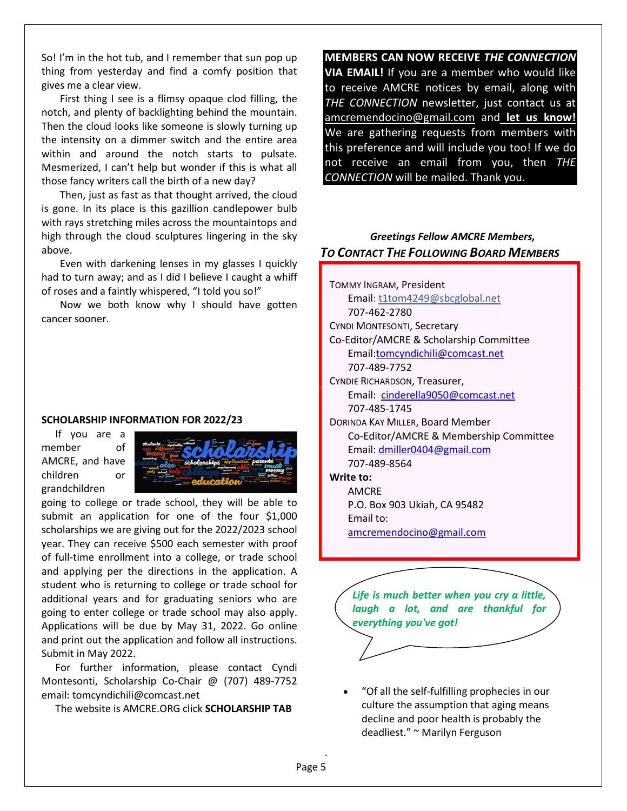So! I'm in the hot tub, and I remember that sun pop up thing from yesterday and find a comfy position that gives me a clear view.

First thing I see is a flimsy opaque clod filling, the notch, and plenty of backlighting behind the mountain. Then the cloud looks like someone is slowly turning up the intensity on a dimmer switch and the entire area within and around the notch starts to pulsate. Mesmerized, I can't help but wonder if this is what all those fancy writers call the birth of a new day?

Then, just as fast as that thought arrived, the cloud is gone. In its place is this gazillion candlepower bulb with rays stretching miles across the mountaintops and high through the cloud sculptures lingering in the sky above.

Even with darkening lenses in my glasses I quickly had to turn away; and as I did I believe I caught a whiff of roses and a faintly whispered, "I told you so!"

Now we both know why I should have gotten cancer sooner.

#### **SCHOLARSHIP INFORMATION FOR 2022/23**

If you are a member of AMCRE, and have children or grandchildren



going to college or trade school, they will be able to submit an application for one of the four \$1,000 scholarships we are giving out for the 2022/2023 school year. They can receive \$500 each semester with proof of full-time enrollment into a college, or trade school and applying per the directions in the application. A student who is returning to college or trade school for additional years and for graduating seniors who are going to enter college or trade school may also apply. Applications will be due by May 31, 2022. Go online and print out the application and follow all instructions. Submit in May 2022.

For further information, please contact Cyndi Montesonti, Scholarship Co-Chair @ (707) 489-7752 email: tomcyndichili@comcast.net

The website is AMCRE.ORG click **SCHOLARSHIP TAB**

**MEMBERS CAN NOW RECEIVE** *THE CONNECTION* **VIA EMAIL!** If you are a member who would like to receive AMCRE notices by email, along with *THE CONNECTION* newsletter, just contact us at [amcremendocino@gmail.com](mailto:amcremendocino@gmail.com) and **let us know!** We are gathering requests from members with this preference and will include you too! If we do not receive an email from you, then *THE CONNECTION* will be mailed. Thank you.

#### *Greetings Fellow AMCRE Members, TO CONTACT THE FOLLOWING BOARD MEMBERS*

TOMMY INGRAM, President Email: t1tom4249@sbcglobal.net 707-462-2780 CYNDI MONTESONTI, Secretary Co-Editor/AMCRE & Scholarship Committee Email[:tomcyndichili@comcast.net](mailto:tomcyndichili@comcast.net)  707-489-7752 CYNDIE RICHARDSON, Treasurer, Email: cinderella9050@comcast.net 707-485-1745 DORINDA KAY MILLER, Board Member Co-Editor/AMCRE & Membership Committee Email[: dmiller0404@gmail.com](mailto:dmiller0404@gmail.com)  707-489-8564 **Write to:**  AMCRE P.O. Box 903 Ukiah, CA 95482 Email to:

amcremendocino@gmail.com

*Life is much better when you cry a little, laugh a lot, and are thankful for everything you've got!*

• "Of all the self-fulfilling prophecies in our culture the assumption that aging means decline and poor health is probably the deadliest." ~ Marilyn Ferguson

.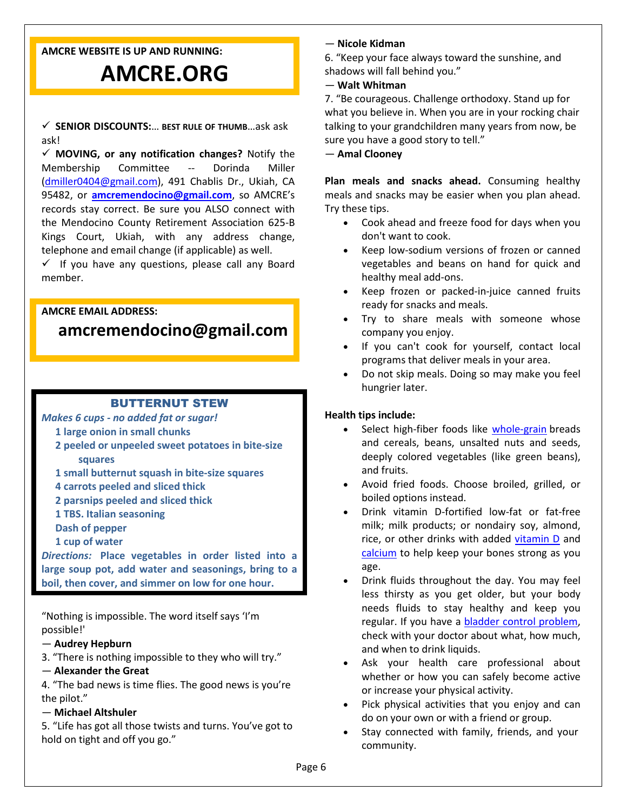#### **AMCRE WEBSITE IS UP AND RUNNING:**

# **AMCRE.ORG**

 **SENIOR DISCOUNTS:**… **BEST RULE OF THUMB**…ask ask ask!

 **MOVING, or any notification changes?** Notify the Membership Committee -- Dorinda Miller [\(dmiller0404@gmail.com\)](mailto:dmiller0404@gmail.com), 491 Chablis Dr., Ukiah, CA 95482, or **amcremendocino@gmail.com**, so AMCRE's records stay correct. Be sure you ALSO connect with the Mendocino County Retirement Association 625-B Kings Court, Ukiah, with any address change, telephone and email change (if applicable) as well.

 $\checkmark$  If you have any questions, please call any Board member.

#### **AMCRE EMAIL ADDRESS:**

# **[amcremendocino@gmail.com](mailto:amcremendocino@gmail.com)**

#### BUTTERNUT STEW

#### *Makes 6 cups - no added fat or sugar!*

- **1 large onion in small chunks**
- **2 peeled or unpeeled sweet potatoes in bite-size squares**
- **1 small butternut squash in bite-size squares**
- **4 carrots peeled and sliced thick**
- **2 parsnips peeled and sliced thick**
- **1 TBS. Italian seasoning**

**Dash of pepper**

**1 cup of water**

*Directions:* **Place vegetables in order listed into a large soup pot, add water and seasonings, bring to a boil, then cover, and simmer on low for one hour.**

"Nothing is impossible. The word itself says 'I'm possible!'

- **Audrey Hepburn**
- 3. "There is nothing impossible to they who will try."

#### — **Alexander the Great**

4. "The bad news is time flies. The good news is you're the pilot."

#### — **Michael Altshuler**

5. "Life has got all those twists and turns. You've got to hold on tight and off you go."

#### — **Nicole Kidman**

6. "Keep your face always toward the sunshine, and shadows will fall behind you."

— **Walt Whitman**

7. "Be courageous. Challenge orthodoxy. Stand up for what you believe in. When you are in your rocking chair talking to your grandchildren many years from now, be sure you have a good story to tell."

— **Amal Clooney**

**Plan meals and snacks ahead.** Consuming healthy meals and snacks may be easier when you plan ahead. Try these tips.

- Cook ahead and freeze food for days when you don't want to cook.
- Keep low-sodium versions of frozen or canned vegetables and beans on hand for quick and healthy meal add-ons.
- Keep frozen or packed-in-juice canned fruits ready for snacks and meals.
- Try to share meals with someone whose company you enjoy.
- If you can't cook for yourself, contact local programs that deliver meals in your area.
- Do not skip meals. Doing so may make you feel hungrier later.

#### **Health tips include:**

- Select high-fiber foods like [whole-grain](https://www.niddk.nih.gov/Dictionary/W/whole-grains) breads and cereals, beans, unsalted nuts and seeds, deeply colored vegetables (like green beans), and fruits.
- Avoid fried foods. Choose broiled, grilled, or boiled options instead.
- Drink vitamin D-fortified low-fat or fat-free milk; milk products; or nondairy soy, almond, rice, or other drinks with added [vitamin D](https://www.niddk.nih.gov/Dictionary/V/vitamin-D) and [calcium](https://www.niddk.nih.gov/Dictionary/C/calcium) to help keep your bones strong as you age.
- Drink fluids throughout the day. You may feel less thirsty as you get older, but your body needs fluids to stay healthy and keep you regular. If you have a [bladder control problem,](https://www.niddk.nih.gov/health-information/urologic-diseases/bladder-control-problems/treatment)  check with your doctor about what, how much, and when to drink liquids.
- Ask your health care professional about whether or how you can safely become active or increase your physical activity.
- Pick physical activities that you enjoy and can do on your own or with a friend or group.
- Stay connected with family, friends, and your community.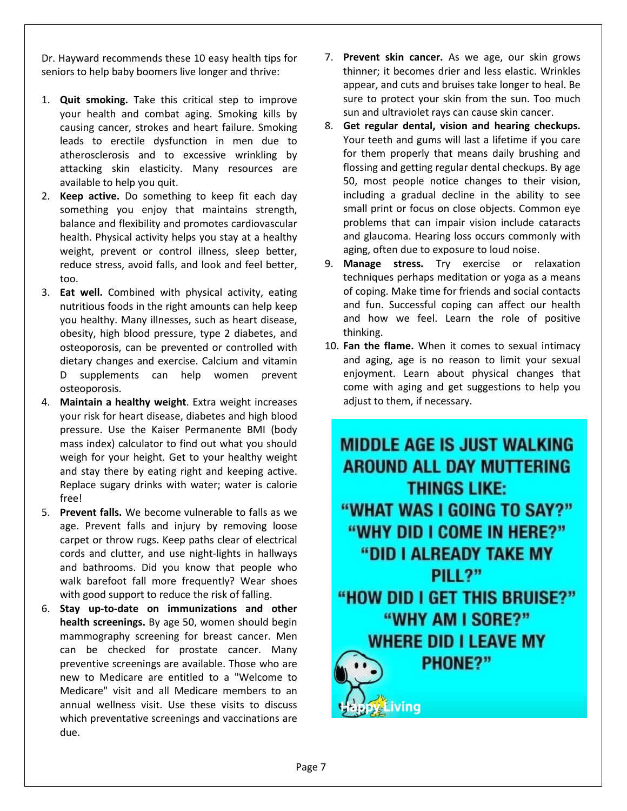Dr. Hayward recommends these 10 easy health tips for seniors to help baby boomers live longer and thrive:

- 1. **Quit smoking.** Take this critical step to improve your health and combat aging. Smoking kills by causing cancer, [strokes](https://www.parentgiving.com/elder-care/six-things-you-can-do-to-prevent-stroke/) and heart failure. Smoking leads to erectile dysfunction in men due to atherosclerosis and to excessive wrinkling by attacking skin elasticity. Many resources are available to help you quit.
- 2. **Keep active.** [Do something to keep fit](https://www.parentgiving.com/shop/staying-fit-261/c/) each day something you enjoy that maintains strength, balance and flexibility and promotes cardiovascular health. Physical activity helps you stay at a healthy weight, prevent or control illness, sleep better, reduce stress, avoid falls, and look and feel better, too.
- 3. **Eat well.** Combined with physical activity, eating nutritious foods in the right amounts can help keep you healthy. Many illnesses, such as heart disease, obesity, high blood pressure, type 2 diabetes, and osteoporosis, can be prevented or controlled with dietary changes and exercise. Calcium and [vitamin](https://www.parentgiving.com/shop/vitamin-d-993/c/)  [D supplements](https://www.parentgiving.com/shop/vitamin-d-993/c/) can help women prevent osteoporosis.
- 4. **Maintain a healthy weight**. Extra weight increases your risk for heart disease, diabetes and high blood pressure. Use the Kaiser Permanente BMI (body mass index) calculator to find out what you should weigh for your height. Get to your healthy weight and stay there by eating right and keeping active. Replace sugary drinks with water; water is calorie free!
- 5. **[Prevent falls.](https://www.parentgiving.com/shop/adult-bed-rails-79/c/)** We become vulnerable to falls as we age. Prevent falls and injury by removing loose carpet or throw rugs. Keep paths clear of electrical cords and clutter, and use night-lights in hallways and bathrooms. Did you know that people who walk barefoot fall more frequently? Wear shoes with good support to reduce the risk of falling.
- 6. **Stay up-to-date on immunizations and other health screenings.** By age 50, women should begin mammography screening for breast cancer. Men can be checked for prostate cancer. Many preventive screenings are available. Those who are new to Medicare are entitled to a "Welcome to Medicare" visit and all Medicare members to an annual wellness visit. Use these visits to discuss which preventative screenings and vaccinations are due.
- 7. **Prevent skin cancer.** As we age, our skin grows thinner; it becomes drier and less elastic. Wrinkles appear, and cuts and bruises take longer to heal. Be sure to protect your skin from the sun. Too much sun and ultraviolet rays can cause skin cancer.
- 8. **Get regular dental, vision and hearing checkups.** Your teeth and gums will last a lifetime if you care for them properly that means daily brushing and flossing and getting regular dental checkups. By age 50, most people notice changes to their vision, including a gradual decline in the ability to see small print or focus on close objects. Common eye problems that can impair vision include cataracts and glaucoma. Hearing loss occurs commonly with aging, often due to exposure to loud noise.
- 9. **Manage stress.** Try exercise or relaxation techniques perhaps meditation or yoga as a means of coping. Make time for friends and social contacts and fun. Successful coping can affect our health and how we feel. Learn the role of positive thinking.
- 10. **Fan the flame.** When it comes to sexual intimacy and aging, age is no reason to limit your sexual enjoyment. Learn about physical changes that come with aging and get suggestions to help you adjust to them, if necessary.